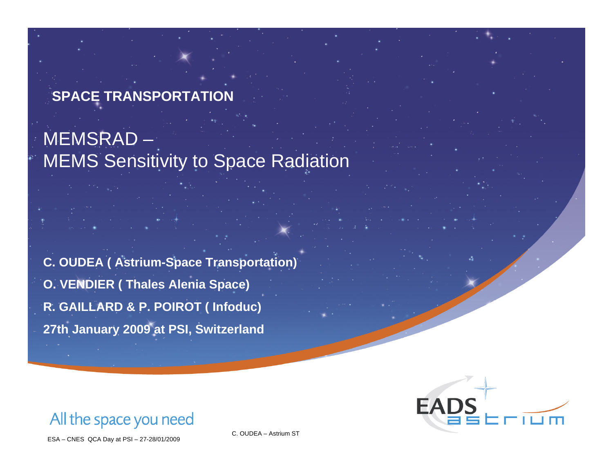#### **SPACE TRANSPORTATION**

# MEMSRAD – MEMS Sensitivity to Space Radiation

**C. OUDEA ( Astrium-Space Transportation) O. VENDIER ( Thales Alenia Space) R. GAILLARD & P. POIROT ( Infoduc) 27th January 2009 at PSI, Switzerland**



All the space you need

ESA – CNES QCA Day at PSI – 27-28/01/2009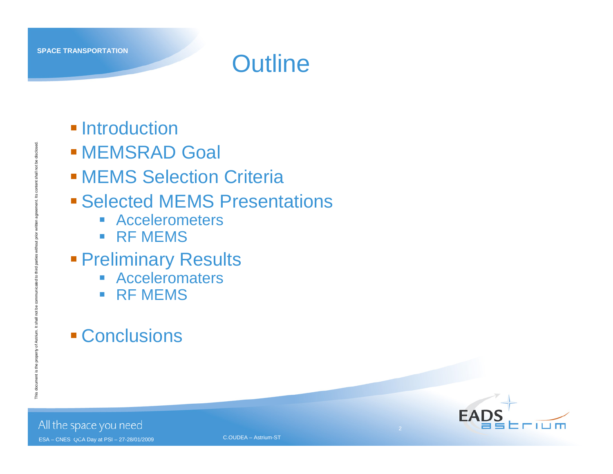# **Outline**

- **Introduction**
- MEMSRAD Goal
- **MEMS Selection Criteria**
- **Example 2 Selected MEMS Presentations** 
	- Accelerometers
	- **RE MEMS**
- **Preliminary Results** 
	- **Acceleromaters**
	- **RF MEMS**
- **Conclusions**



2

All the space you need

ESA – CNES QCA Day at PSI – 27-28/01/2009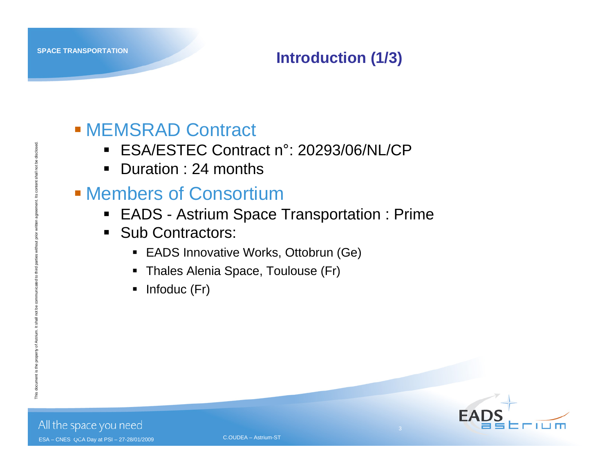#### **Introduction (1/3)**

### MEMSRAD Contract

- ESA/ESTEC Contract n°: 20293/06/NL/CP
- Duration : 24 months

#### Members of Consortium

- EADS Astrium Space Transportation : Prime
- Sub Contractors:
	- EADS Innovative Works, Ottobrun (Ge)
	- Thales Alenia Space, Toulouse (Fr)
	- $\blacksquare$  Infoduc (Fr)

This document is the property of Astrium. It shall not be communicated to third parties without prior written agreement. Its content shall not be disclosed.



3

All the space you need ESA – CNES QCA Day at PSI – 27-28/01/2009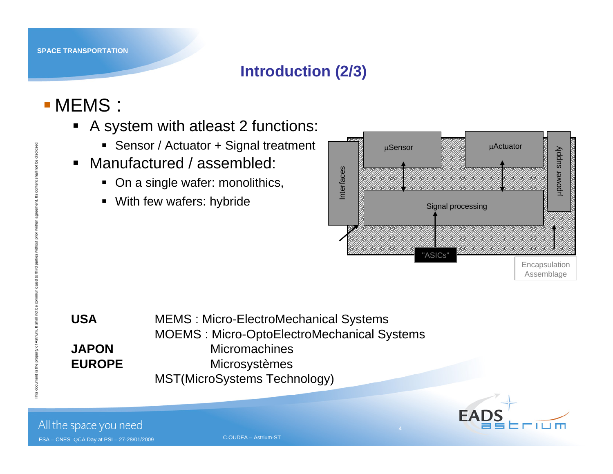#### **Introduction (2/3)**

# MEMS :

- A system with atleast 2 functions:
	- Sensor / Actuator + Signal treatment
- Manufactured / assembled:
	- On a single wafer: monolithics,
	- With few wafers: hybride



| <b>USA</b>    | <b>MEMS: Micro-ElectroMechanical Systems</b>      |
|---------------|---------------------------------------------------|
|               | <b>MOEMS: Micro-OptoElectroMechanical Systems</b> |
| <b>JAPON</b>  | <b>Micromachines</b>                              |
| <b>EUROPE</b> | <b>Microsystèmes</b>                              |
|               | MST(MicroSystems Technology)                      |



All the space you need

ESA – CNES QCA Day at PSI – 27-28/01/2009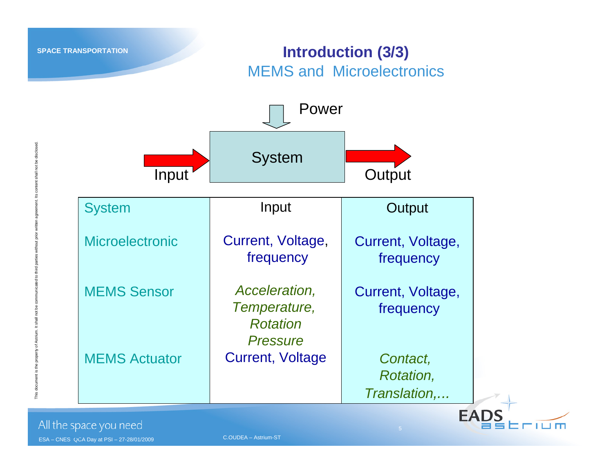#### **Introduction (3/3)** MEMS and Microelectronics



This document is the property of Astrium. It shall not be communicated to third parties without prior written agreement. Its content shall not be disclosed.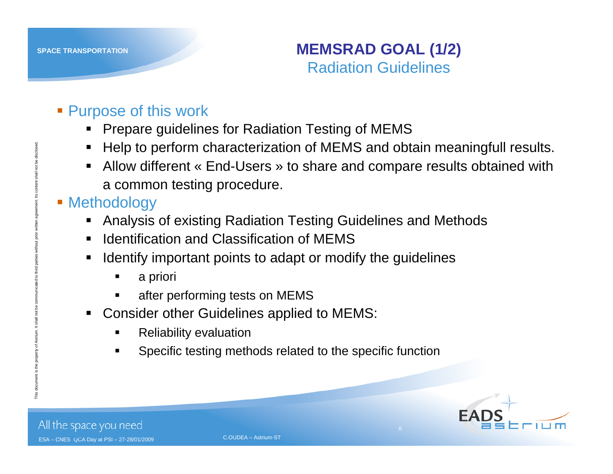#### **MEMSRAD GOAL (1/2)** Radiation Guidelines

#### **Purpose of this work**

- Prepare guidelines for Radiation Testing of MEMS
- Help to perform characterization of MEMS and obtain meaningfull results.
- Allow different « End-Users » to share and compare results obtained with a common testing procedure.
- **E** Methodology
	- $\blacksquare$ Analysis of existing Radiation Testing Guidelines and Methods
	- $\blacksquare$ Identification and Classification of MEMS
	- $\blacksquare$  Identify important points to adapt or modify the guidelines
		- $\blacksquare$ <sup>a</sup> priori
		- $\blacksquare$ after performing tests on MEMS
	- $\blacksquare$  Consider other Guidelines applied to MEMS:
		- $\blacksquare$ Reliability evaluation
		- $\blacksquare$ Specific testing methods related to the specific function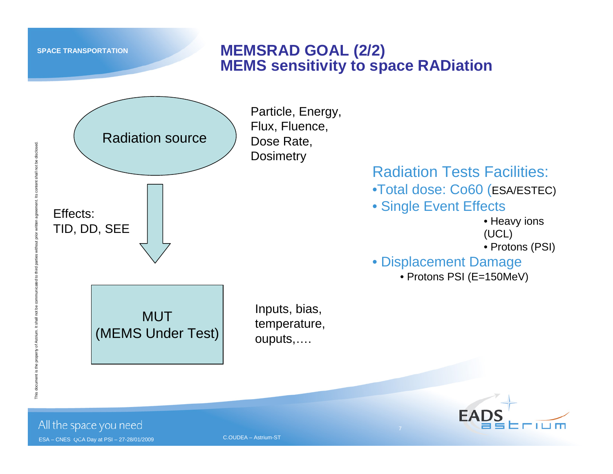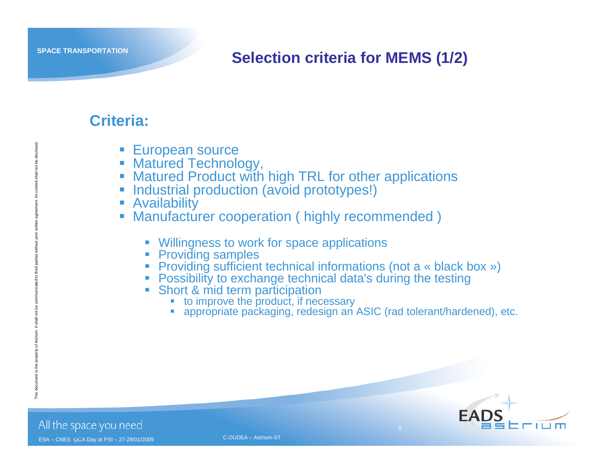#### **Selection criteria for MEMS (1/2)**

#### **Criteria:**

- **European source**
- **Matured Technology,**
- П Matured Product with high TRL for other applications
- П Industrial production (avoid prototypes!)
- П **Availability**
- П Manufacturer cooperation ( highly recommended )
	- $\mathcal{L}_{\mathcal{A}}$ Willingness to work for space applications
	- **Providing samples**
	- **Providing sufficient technical informations (not a « black box »)**
	- Possibility to exchange technical data's during the testing
	- $\mathcal{L}_{\mathcal{A}}$  Short & mid term participation
		- П ■ to improve the product, if necessary
		- П appropriate packaging, redesign an ASIC (rad tolerant/hardened), etc.



All the space you need ESA – CNES QCA Day at PSI – 27-28/01/2009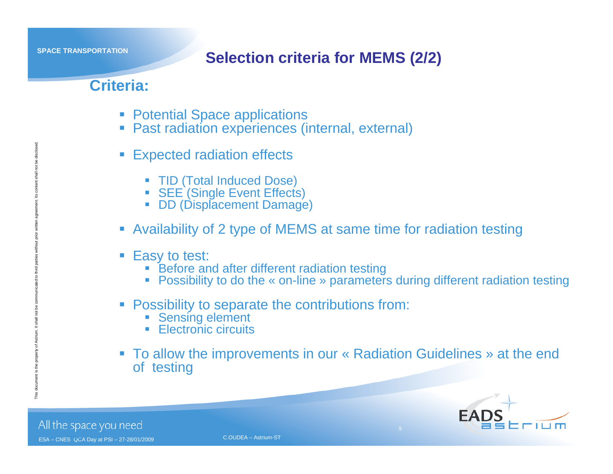#### **Selection criteria for MEMS (2/2)**

#### **Criteria:**

- **Potential Space applications**
- Past radiation experiences (internal, external)
- П Expected radiation effects
	- TID (Total Induced Dose)
	- **SEE (Single Event Effects)**
	- **DD (Displacement Damage)**
- Availability of 2 type of MEMS at same time for radiation testing
- **Easy to test:** 
	- **Before and after different radiation testing**
	- Possibility to do the « on-line » parameters during different radiation testing
- **Possibility to separate the contributions from:** 
	- **Sensing element**
	- **Electronic circuits**
- To allow the improvements in our « Radiation Guidelines » at the end of testing

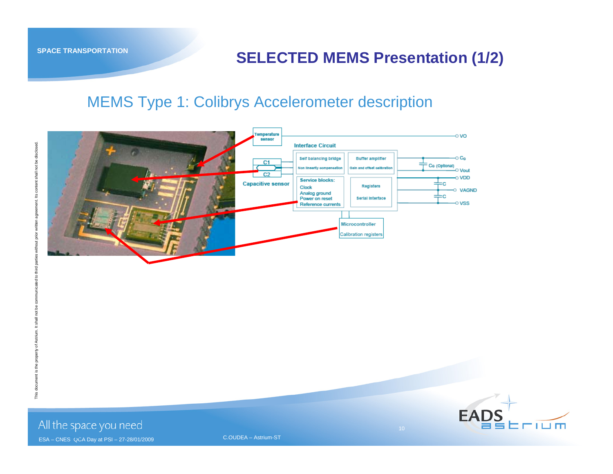#### **SELECTED MEMS Presentation (1/2)**

#### MEMS Type 1: Colibrys Accelerometer description



ESA – CNES QCA Day at PSI – 27-28/01/2009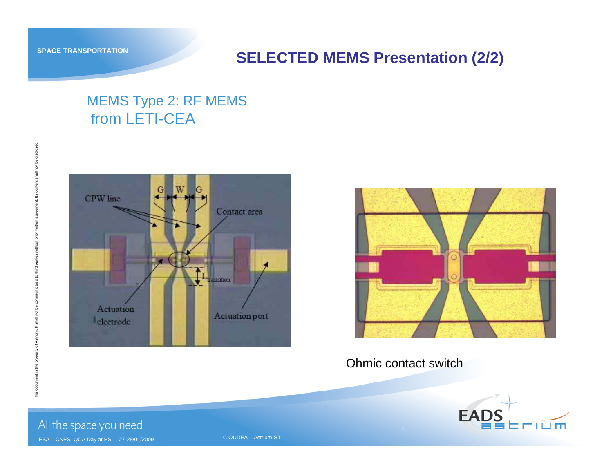#### **SELECTED MEMS Presentation (2/2)**

#### MEMS Type 2: RF MEMS from LETI-CEA





#### Ohmic contact switch

11



All the space you need

ESA – CNES QCA Day at PSI – 27-28/01/2009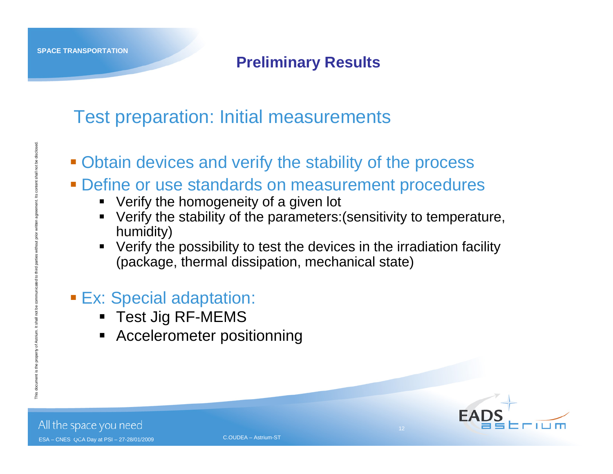This document is the property of Astrium. It shall not be communicated to third parties without prior written agreement. Its content shall not be disclosed.

#### **Preliminary Results**

# Test preparation: Initial measurements

- Obtain devices and verify the stability of the process
- Define or use standards on measurement procedures
	- Verify the homogeneity of a given lot
	- Verify the stability of the parameters:(sensitivity to temperature, humidity)
	- Verify the possibility to test the devices in the irradiation facility (package, thermal dissipation, mechanical state)

#### **Ex: Special adaptation:**

- Test Jig RF-MEMS
- Accelerometer positionning

12

All the space you need

ESA – CNES QCA Day at PSI – 27-28/01/2009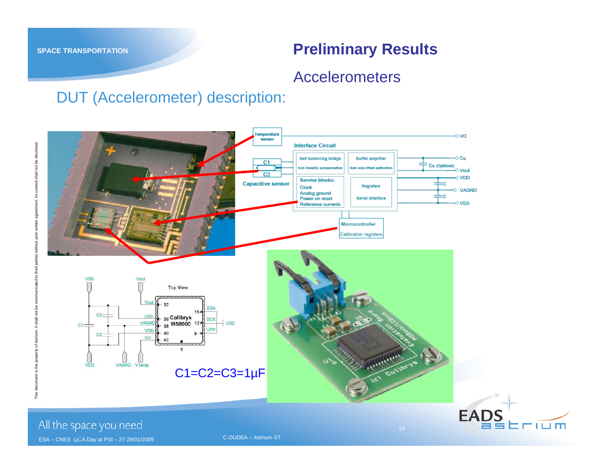Erium

#### Accelerometers

#### DUT (Accelerometer) description:



All the space you need

ESA – CNES QCA Day at PSI – 27-28/01/2009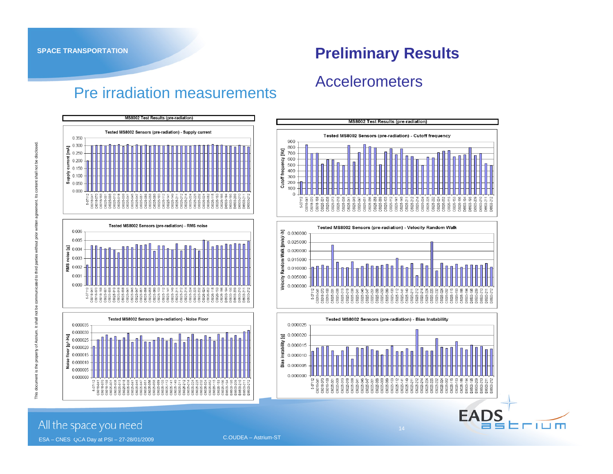#### Accelerometers



Pre irradiation measurements







14

**EADS** 

Erium

shall not be disclosed.

£.

Ξ

 $\mathbf{S}$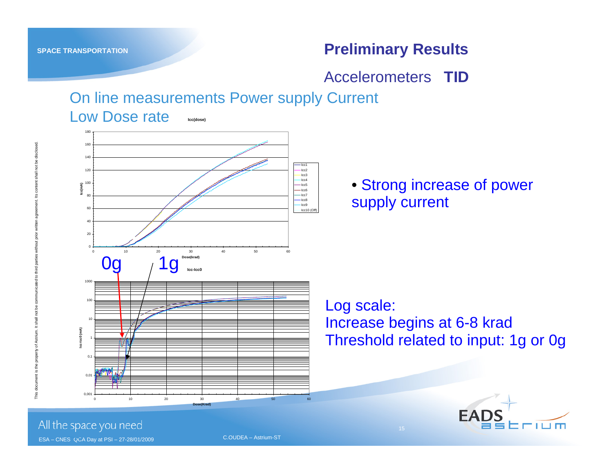Accelerometers **TID**

On line measurements Power supply Current

#### Low Dose rate**Icc(dose)**



• Strong increase of power supply current

Log scale:

Increase begins at 6-8 krad Threshold related to input: 1g or 0g



All the space you need

ESA – CNES QCA Day at PSI – 27-28/01/2009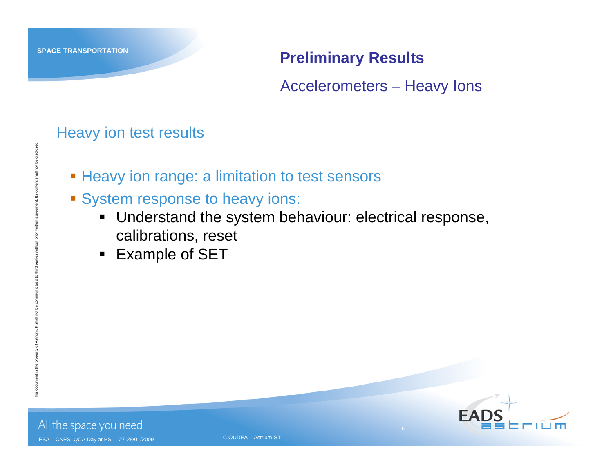Accelerometers – Heavy Ions

#### Heavy ion test results

- **Example 1 Heavy ion range: a limitation to test sensors**
- **System response to heavy ions:** 
	- Understand the system behaviour: electrical response, calibrations, reset
	- $\blacksquare$ Example of SET



All the space you need

ESA – CNES QCA Day at PSI – 27-28/01/2009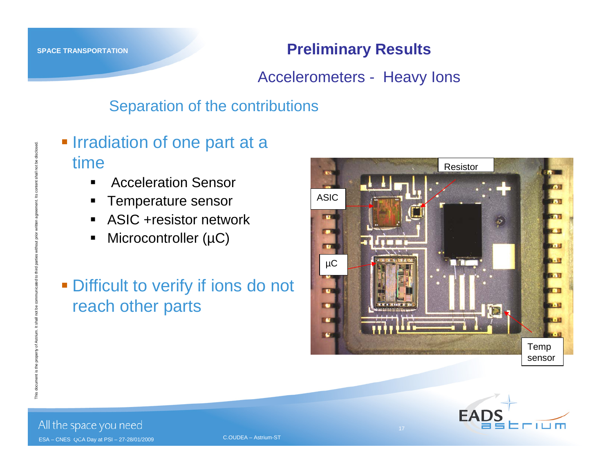Accelerometers - Heavy Ions

#### Separation of the contributions

- **Irradiation of one part at a** time
	- $\blacksquare$ Acceleration Sensor
	- ш Temperature sensor
	- ASIC +resistor network
	- $\blacksquare$ Microcontroller (µC)
- **Difficult to verify if ions do not** reach other parts





All the space you need ESA – CNES QCA Day at PSI – 27-28/01/2009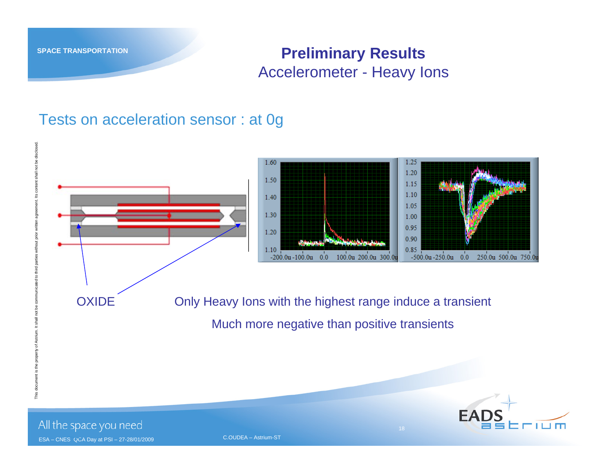#### **Preliminary Results** Accelerometer - Heavy Ions

#### Tests on acceleration sensor : at 0g



ESA – CNES QCA Day at PSI – 27-28/01/2009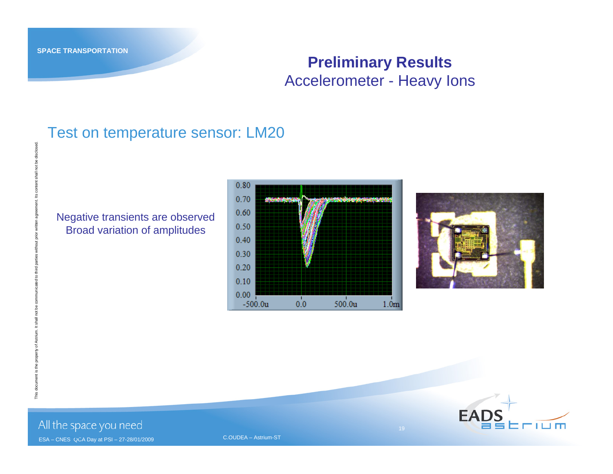This document is the property of Astrium. It shall not be communicated to third parties without prior written agreement. Its content shall not be disclosed.

ie

sclos

#### **Preliminary Results** Accelerometer - Heavy Ions

#### Test on temperature sensor: LM20

#### Negative transients are observed Broad variation of amplitudes





All the space you need

ESA – CNES QCA Day at PSI – 27-28/01/2009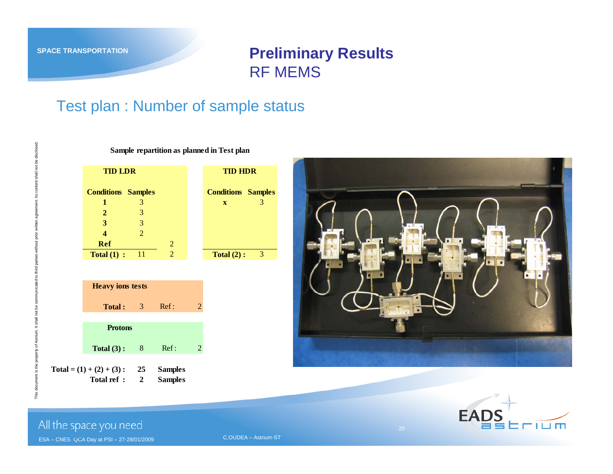#### **Preliminary Results** RF MEMS

#### Test plan : Number of sample status

**Sample repartition as planned in Test plan**

**Conditions Samples Conditions Samples 1** 3 **<sup>x</sup>** 3 **2** 3 **3** 3 **4** 2 **Ref**f  $\sim$  2 **Total (1) :** 11 2 **Total (2) :** 3 **TID LDR TID HDR**



**Total ref : 2 Samples**





not be disclosed.

All the space you need

ESA – CNES QCA Day at PSI – 27-28/01/2009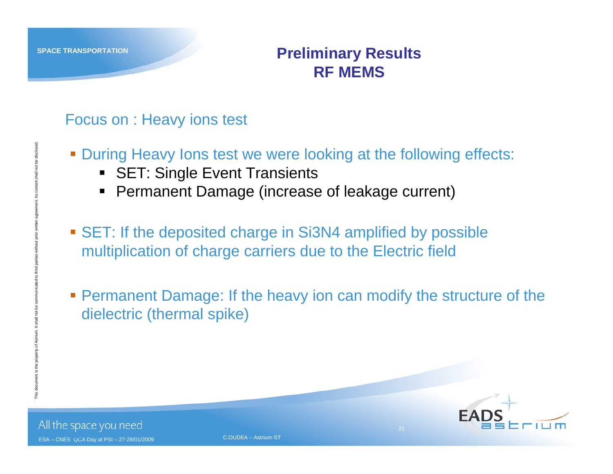#### **Preliminary Results RF MEMS**

#### Focus on : Heavy ions test

- **During Heavy lons test we were looking at the following effects:** 
	- SET: Single Event Transients
	- $\blacksquare$ Permanent Damage (increase of leakage current)
- SET: If the deposited charge in Si3N4 amplified by possible multiplication of charge carriers due to the Electric field
- **Permanent Damage: If the heavy ion can modify the structure of the** dielectric (thermal spike)

21

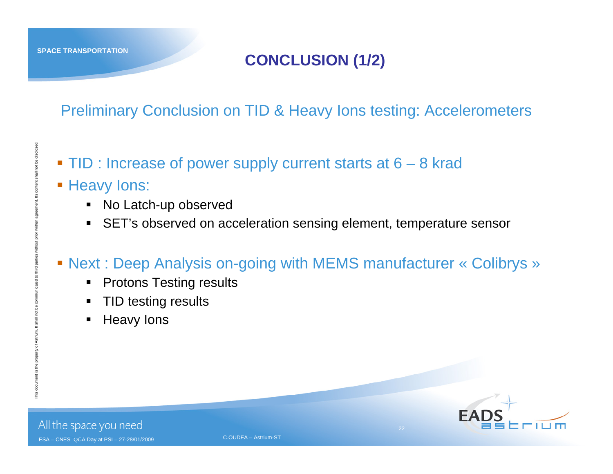#### **CONCLUSION (1/2)**

Preliminary Conclusion on TID & Heavy Ions testing: Accelerometers

- TID : Increase of power supply current starts at 6 8 krad
- Heavy Ions:
	- $\blacksquare$ No Latch-up observed
	- $\blacksquare$ SET's observed on acceleration sensing element, temperature sensor

#### Next : Deep Analysis on-going with MEMS manufacturer « Colibrys »

- $\blacksquare$ Protons Testing results
- $\blacksquare$ TID testing results
- $\blacksquare$ Heavy Ions



22